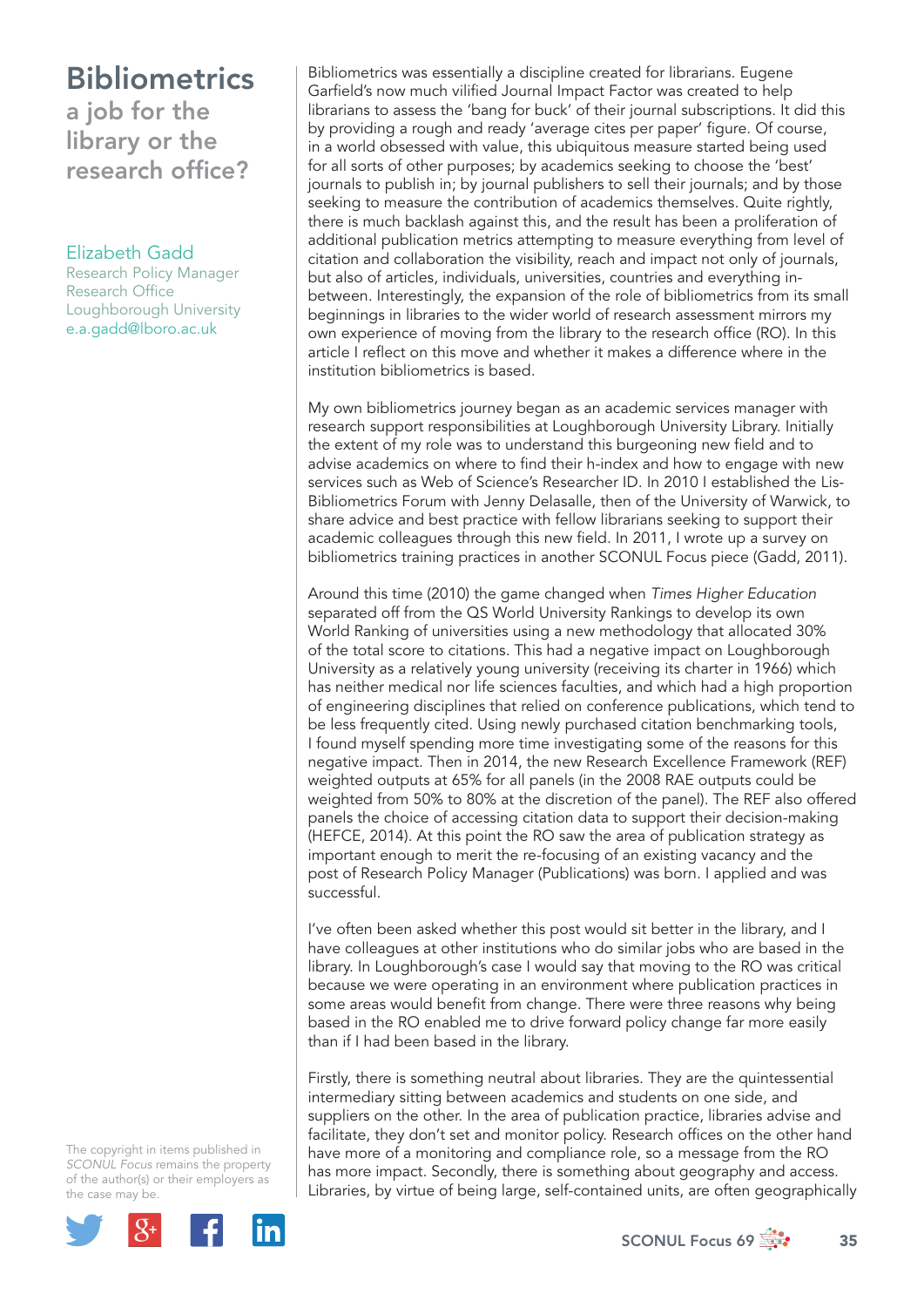### **Bibliometrics** a job for the library or the research office?

#### Elizabeth Gadd

Research Policy Manager Research Office Loughborough University e.a.gadd@lboro.ac.uk

Bibliometrics was essentially a discipline created for librarians. Eugene Garfield's now much vilified Journal Impact Factor was created to help librarians to assess the 'bang for buck' of their journal subscriptions. It did this by providing a rough and ready 'average cites per paper' figure. Of course, in a world obsessed with value, this ubiquitous measure started being used for all sorts of other purposes; by academics seeking to choose the 'best' journals to publish in; by journal publishers to sell their journals; and by those seeking to measure the contribution of academics themselves. Quite rightly, there is much backlash against this, and the result has been a proliferation of additional publication metrics attempting to measure everything from level of citation and collaboration the visibility, reach and impact not only of journals, but also of articles, individuals, universities, countries and everything inbetween. Interestingly, the expansion of the role of bibliometrics from its small beginnings in libraries to the wider world of research assessment mirrors my own experience of moving from the library to the research office (RO). In this article I reflect on this move and whether it makes a difference where in the institution bibliometrics is based.

My own bibliometrics journey began as an academic services manager with research support responsibilities at Loughborough University Library. Initially the extent of my role was to understand this burgeoning new field and to advise academics on where to find their h-index and how to engage with new services such as Web of Science's Researcher ID. In 2010 I established the Lis-Bibliometrics Forum with Jenny Delasalle, then of the University of Warwick, to share advice and best practice with fellow librarians seeking to support their academic colleagues through this new field. In 2011, I wrote up a survey on bibliometrics training practices in another SCONUL Focus piece (Gadd, 2011).

Around this time (2010) the game changed when *Times Higher Education* separated off from the QS World University Rankings to develop its own World Ranking of universities using a new methodology that allocated 30% of the total score to citations. This had a negative impact on Loughborough University as a relatively young university (receiving its charter in 1966) which has neither medical nor life sciences faculties, and which had a high proportion of engineering disciplines that relied on conference publications, which tend to be less frequently cited. Using newly purchased citation benchmarking tools, I found myself spending more time investigating some of the reasons for this negative impact. Then in 2014, the new Research Excellence Framework (REF) weighted outputs at 65% for all panels (in the 2008 RAE outputs could be weighted from 50% to 80% at the discretion of the panel). The REF also offered panels the choice of accessing citation data to support their decision-making (HEFCE, 2014). At this point the RO saw the area of publication strategy as important enough to merit the re-focusing of an existing vacancy and the post of Research Policy Manager (Publications) was born. I applied and was successful.

I've often been asked whether this post would sit better in the library, and I have colleagues at other institutions who do similar jobs who are based in the library. In Loughborough's case I would say that moving to the RO was critical because we were operating in an environment where publication practices in some areas would benefit from change. There were three reasons why being based in the RO enabled me to drive forward policy change far more easily than if I had been based in the library.

Firstly, there is something neutral about libraries. They are the quintessential intermediary sitting between academics and students on one side, and suppliers on the other. In the area of publication practice, libraries advise and facilitate, they don't set and monitor policy. Research offices on the other hand have more of a monitoring and compliance role, so a message from the RO has more impact. Secondly, there is something about geography and access. Libraries, by virtue of being large, self-contained units, are often geographically

The copyright in items published in *SCONUL Focus* remains the property of the author(s) or their employers as the case may be.

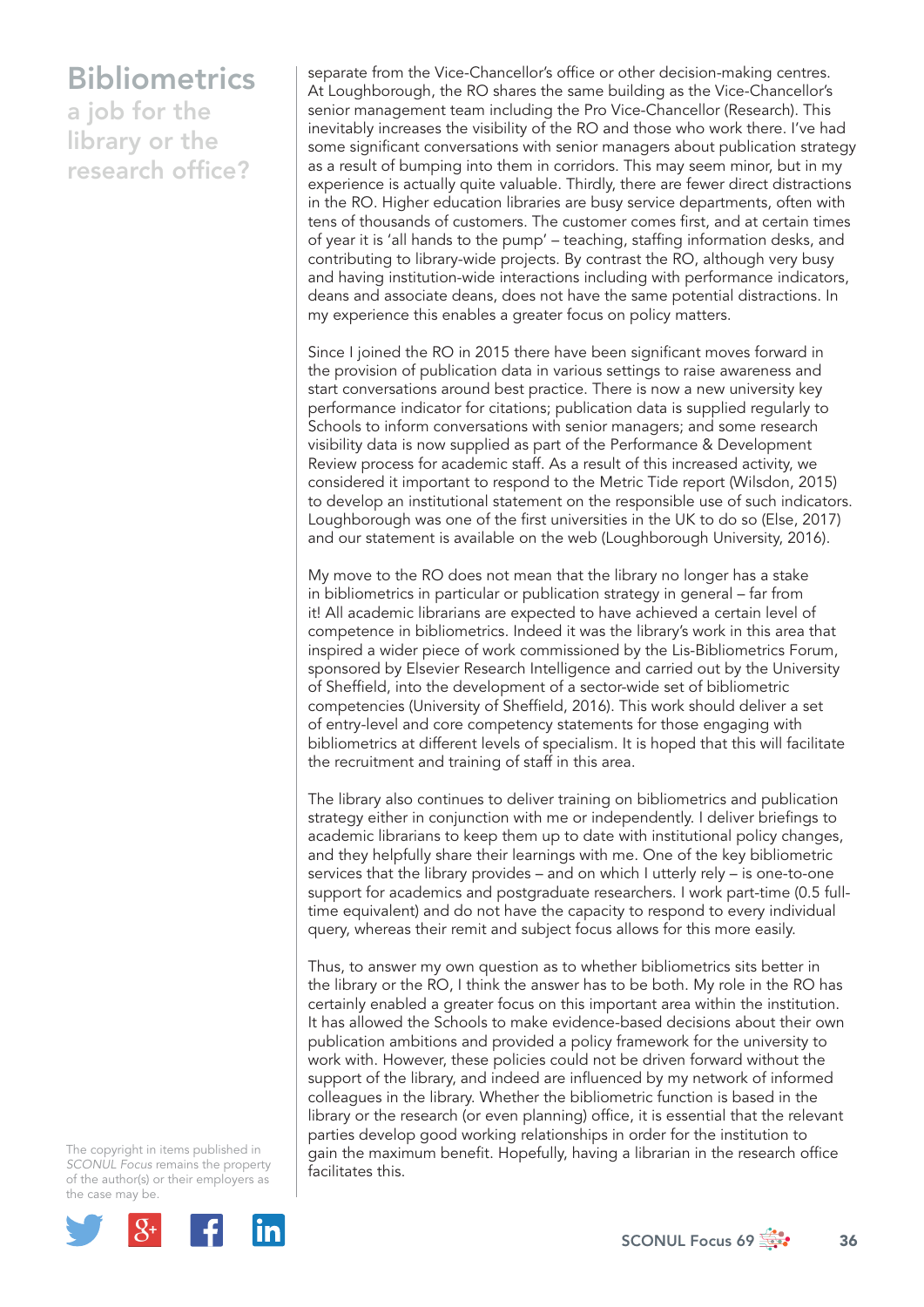## Bibliometrics

a job for the library or the research office?

separate from the Vice-Chancellor's office or other decision-making centres. At Loughborough, the RO shares the same building as the Vice-Chancellor's senior management team including the Pro Vice-Chancellor (Research). This inevitably increases the visibility of the RO and those who work there. I've had some significant conversations with senior managers about publication strategy as a result of bumping into them in corridors. This may seem minor, but in my experience is actually quite valuable. Thirdly, there are fewer direct distractions in the RO. Higher education libraries are busy service departments, often with tens of thousands of customers. The customer comes first, and at certain times of year it is 'all hands to the pump' – teaching, staffing information desks, and contributing to library-wide projects. By contrast the RO, although very busy and having institution-wide interactions including with performance indicators, deans and associate deans, does not have the same potential distractions. In my experience this enables a greater focus on policy matters.

Since I joined the RO in 2015 there have been significant moves forward in the provision of publication data in various settings to raise awareness and start conversations around best practice. There is now a new university key performance indicator for citations; publication data is supplied regularly to Schools to inform conversations with senior managers; and some research visibility data is now supplied as part of the Performance & Development Review process for academic staff. As a result of this increased activity, we considered it important to respond to the Metric Tide report (Wilsdon, 2015) to develop an institutional statement on the responsible use of such indicators. Loughborough was one of the first universities in the UK to do so (Else, 2017) and our statement is available on the web (Loughborough University, 2016).

My move to the RO does not mean that the library no longer has a stake in bibliometrics in particular or publication strategy in general – far from it! All academic librarians are expected to have achieved a certain level of competence in bibliometrics. Indeed it was the library's work in this area that inspired a wider piece of work commissioned by the Lis-Bibliometrics Forum, sponsored by Elsevier Research Intelligence and carried out by the University of Sheffield, into the development of a sector-wide set of bibliometric competencies (University of Sheffield, 2016). This work should deliver a set of entry-level and core competency statements for those engaging with bibliometrics at different levels of specialism. It is hoped that this will facilitate the recruitment and training of staff in this area.

The library also continues to deliver training on bibliometrics and publication strategy either in conjunction with me or independently. I deliver briefings to academic librarians to keep them up to date with institutional policy changes, and they helpfully share their learnings with me. One of the key bibliometric services that the library provides – and on which I utterly rely – is one-to-one support for academics and postgraduate researchers. I work part-time (0.5 fulltime equivalent) and do not have the capacity to respond to every individual query, whereas their remit and subject focus allows for this more easily.

Thus, to answer my own question as to whether bibliometrics sits better in the library or the RO, I think the answer has to be both. My role in the RO has certainly enabled a greater focus on this important area within the institution. It has allowed the Schools to make evidence-based decisions about their own publication ambitions and provided a policy framework for the university to work with. However, these policies could not be driven forward without the support of the library, and indeed are influenced by my network of informed colleagues in the library. Whether the bibliometric function is based in the library or the research (or even planning) office, it is essential that the relevant parties develop good working relationships in order for the institution to gain the maximum benefit. Hopefully, having a librarian in the research office facilitates this.

The copyright in items published in *SCONUL Focus* remains the property of the author(s) or their employers as the case may be.